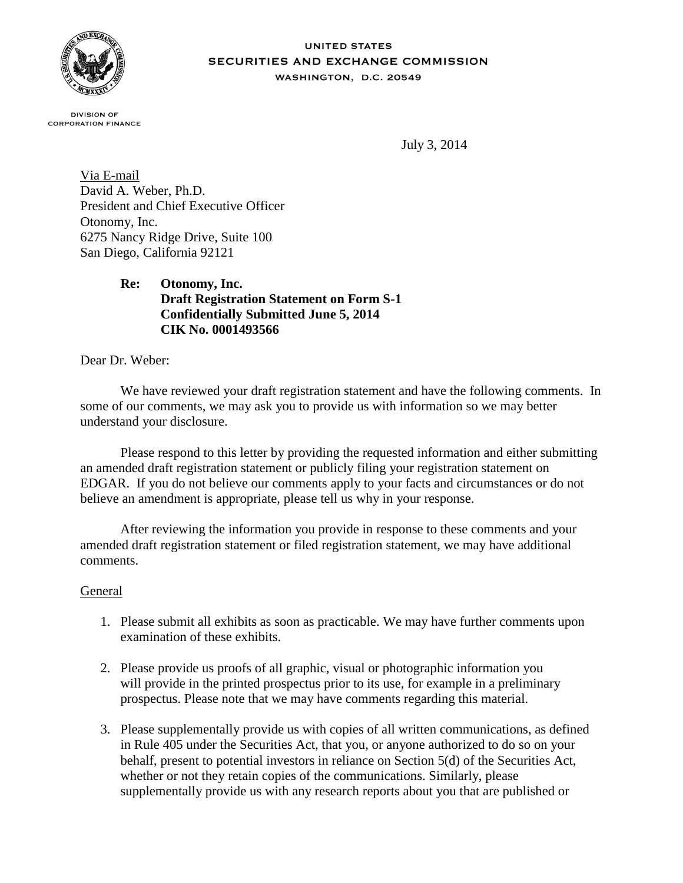

#### **UNITED STATES** SECURITIES AND EXCHANGE COMMISSION WASHINGTON, D.C. 20549

**DIVISION OF CORPORATION FINANCE** 

July 3, 2014

Via E-mail David A. Weber, Ph.D. President and Chief Executive Officer Otonomy, Inc. 6275 Nancy Ridge Drive, Suite 100 San Diego, California 92121

# **Re: Otonomy, Inc. Draft Registration Statement on Form S-1 Confidentially Submitted June 5, 2014 CIK No. 0001493566**

Dear Dr. Weber:

We have reviewed your draft registration statement and have the following comments. In some of our comments, we may ask you to provide us with information so we may better understand your disclosure.

Please respond to this letter by providing the requested information and either submitting an amended draft registration statement or publicly filing your registration statement on EDGAR. If you do not believe our comments apply to your facts and circumstances or do not believe an amendment is appropriate, please tell us why in your response.

After reviewing the information you provide in response to these comments and your amended draft registration statement or filed registration statement, we may have additional comments.

### General

- 1. Please submit all exhibits as soon as practicable. We may have further comments upon examination of these exhibits.
- 2. Please provide us proofs of all graphic, visual or photographic information you will provide in the printed prospectus prior to its use, for example in a preliminary prospectus. Please note that we may have comments regarding this material.
- 3. Please supplementally provide us with copies of all written communications, as defined in Rule 405 under the Securities Act, that you, or anyone authorized to do so on your behalf, present to potential investors in reliance on Section 5(d) of the Securities Act, whether or not they retain copies of the communications. Similarly, please supplementally provide us with any research reports about you that are published or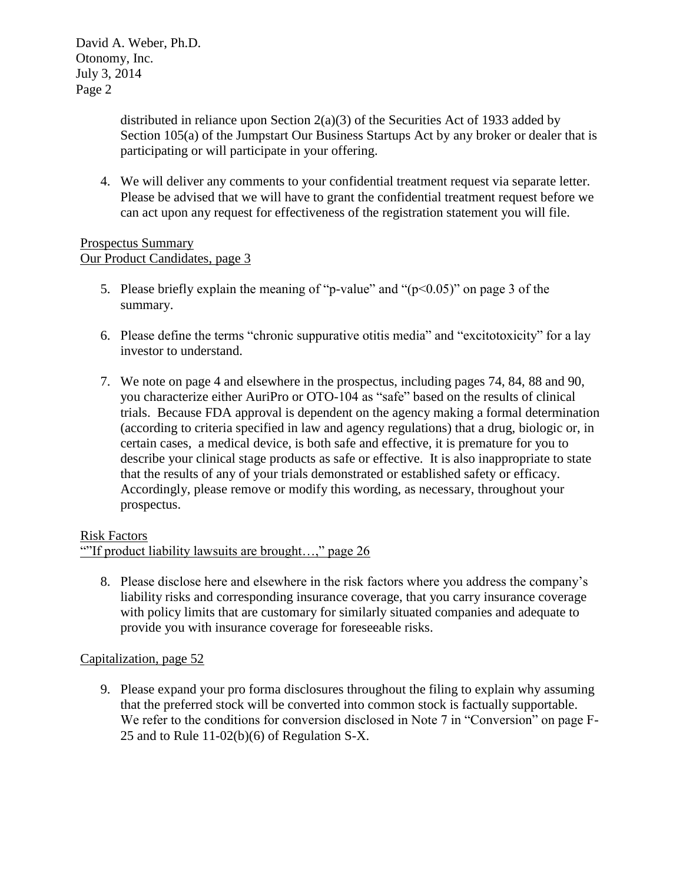distributed in reliance upon Section 2(a)(3) of the Securities Act of 1933 added by Section 105(a) of the Jumpstart Our Business Startups Act by any broker or dealer that is participating or will participate in your offering.

4. We will deliver any comments to your confidential treatment request via separate letter. Please be advised that we will have to grant the confidential treatment request before we can act upon any request for effectiveness of the registration statement you will file.

### Prospectus Summary Our Product Candidates, page 3

- 5. Please briefly explain the meaning of "p-value" and " $(p<0.05)$ " on page 3 of the summary.
- 6. Please define the terms "chronic suppurative otitis media" and "excitotoxicity" for a lay investor to understand.
- 7. We note on page 4 and elsewhere in the prospectus, including pages 74, 84, 88 and 90, you characterize either AuriPro or OTO-104 as "safe" based on the results of clinical trials. Because FDA approval is dependent on the agency making a formal determination (according to criteria specified in law and agency regulations) that a drug, biologic or, in certain cases, a medical device, is both safe and effective, it is premature for you to describe your clinical stage products as safe or effective. It is also inappropriate to state that the results of any of your trials demonstrated or established safety or efficacy. Accordingly, please remove or modify this wording, as necessary, throughout your prospectus.

# Risk Factors

# ""If product liability lawsuits are brought…," page 26

8. Please disclose here and elsewhere in the risk factors where you address the company's liability risks and corresponding insurance coverage, that you carry insurance coverage with policy limits that are customary for similarly situated companies and adequate to provide you with insurance coverage for foreseeable risks.

# Capitalization, page 52

9. Please expand your pro forma disclosures throughout the filing to explain why assuming that the preferred stock will be converted into common stock is factually supportable. We refer to the conditions for conversion disclosed in Note 7 in "Conversion" on page F-25 and to Rule 11-02(b)(6) of Regulation S-X.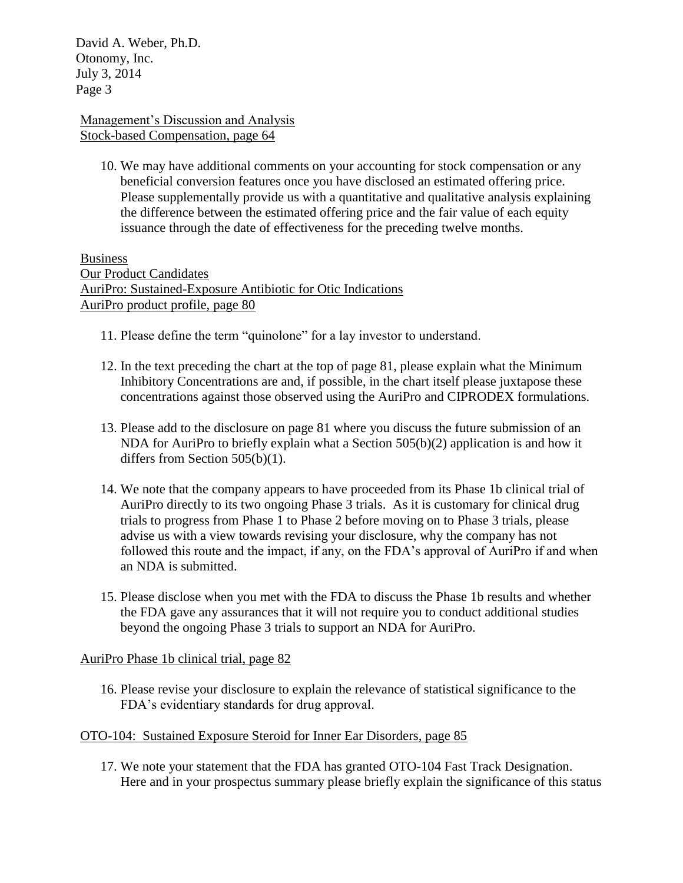David A. Weber, Ph.D. Otonomy, Inc. July 3, 2014 Page 3

### Management's Discussion and Analysis Stock-based Compensation, page 64

10. We may have additional comments on your accounting for stock compensation or any beneficial conversion features once you have disclosed an estimated offering price. Please supplementally provide us with a quantitative and qualitative analysis explaining the difference between the estimated offering price and the fair value of each equity issuance through the date of effectiveness for the preceding twelve months.

Business Our Product Candidates AuriPro: Sustained-Exposure Antibiotic for Otic Indications AuriPro product profile, page 80

- 11. Please define the term "quinolone" for a lay investor to understand.
- 12. In the text preceding the chart at the top of page 81, please explain what the Minimum Inhibitory Concentrations are and, if possible, in the chart itself please juxtapose these concentrations against those observed using the AuriPro and CIPRODEX formulations.
- 13. Please add to the disclosure on page 81 where you discuss the future submission of an NDA for AuriPro to briefly explain what a Section 505(b)(2) application is and how it differs from Section 505(b)(1).
- 14. We note that the company appears to have proceeded from its Phase 1b clinical trial of AuriPro directly to its two ongoing Phase 3 trials. As it is customary for clinical drug trials to progress from Phase 1 to Phase 2 before moving on to Phase 3 trials, please advise us with a view towards revising your disclosure, why the company has not followed this route and the impact, if any, on the FDA's approval of AuriPro if and when an NDA is submitted.
- 15. Please disclose when you met with the FDA to discuss the Phase 1b results and whether the FDA gave any assurances that it will not require you to conduct additional studies beyond the ongoing Phase 3 trials to support an NDA for AuriPro.

# AuriPro Phase 1b clinical trial, page 82

16. Please revise your disclosure to explain the relevance of statistical significance to the FDA's evidentiary standards for drug approval.

### OTO-104: Sustained Exposure Steroid for Inner Ear Disorders, page 85

17. We note your statement that the FDA has granted OTO-104 Fast Track Designation. Here and in your prospectus summary please briefly explain the significance of this status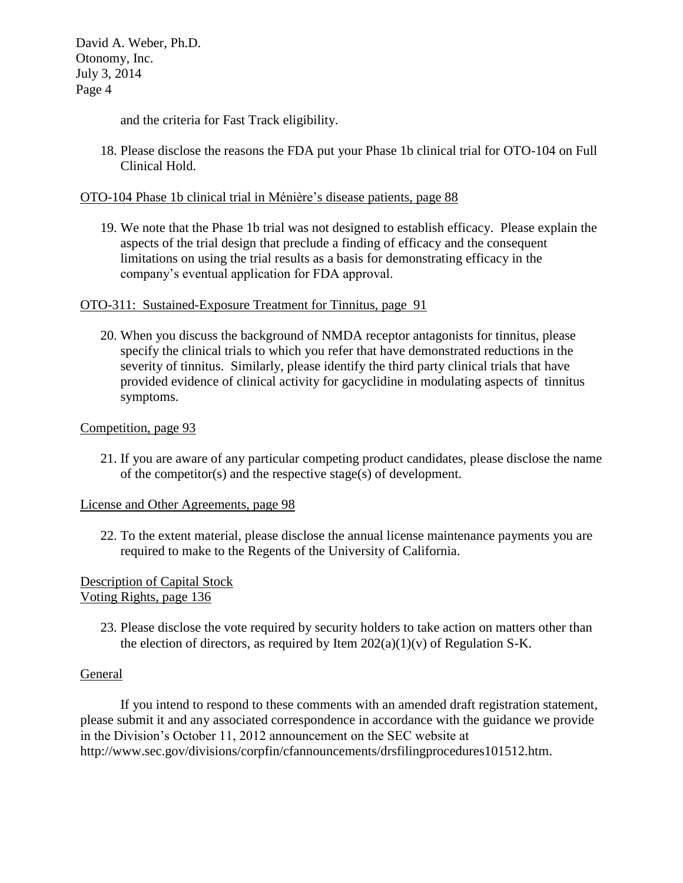David A. Weber, Ph.D. Otonomy, Inc. July 3, 2014 Page 4

and the criteria for Fast Track eligibility.

18. Please disclose the reasons the FDA put your Phase 1b clinical trial for OTO-104 on Full Clinical Hold.

### OTO-104 Phase 1b clinical trial in Ménière's disease patients, page 88

19. We note that the Phase 1b trial was not designed to establish efficacy. Please explain the aspects of the trial design that preclude a finding of efficacy and the consequent limitations on using the trial results as a basis for demonstrating efficacy in the company's eventual application for FDA approval.

### OTO-311: Sustained-Exposure Treatment for Tinnitus, page 91

20. When you discuss the background of NMDA receptor antagonists for tinnitus, please specify the clinical trials to which you refer that have demonstrated reductions in the severity of tinnitus. Similarly, please identify the third party clinical trials that have provided evidence of clinical activity for gacyclidine in modulating aspects of tinnitus symptoms.

### Competition, page 93

21. If you are aware of any particular competing product candidates, please disclose the name of the competitor(s) and the respective stage(s) of development.

### License and Other Agreements, page 98

22. To the extent material, please disclose the annual license maintenance payments you are required to make to the Regents of the University of California.

Description of Capital Stock Voting Rights, page 136

> 23. Please disclose the vote required by security holders to take action on matters other than the election of directors, as required by Item  $202(a)(1)(v)$  of Regulation S-K.

### General

If you intend to respond to these comments with an amended draft registration statement, please submit it and any associated correspondence in accordance with the guidance we provide in the Division's October 11, 2012 announcement on the SEC website at http://www.sec.gov/divisions/corpfin/cfannouncements/drsfilingprocedures101512.htm.